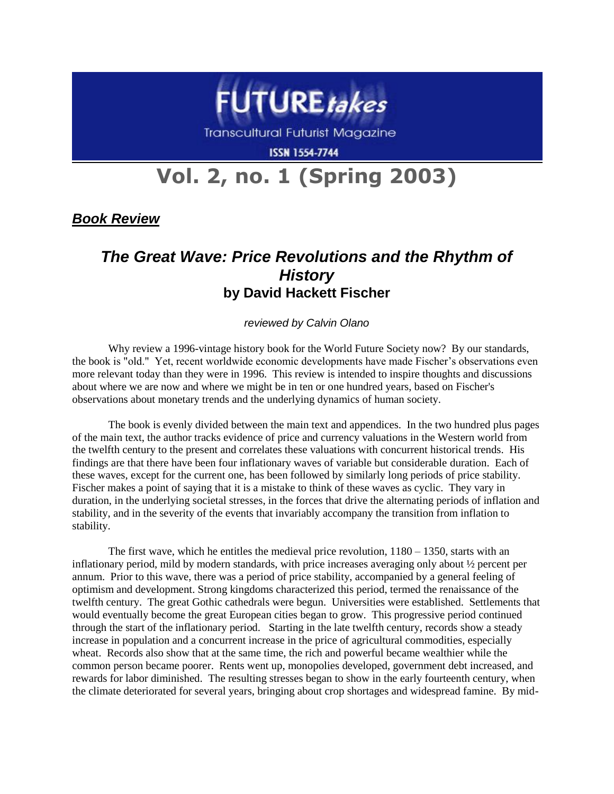

**Transcultural Futurist Magazine** 

**ISSN 1554-7744** 

## **Vol. 2, no. 1 (Spring 2003)**

*Book Review*

## *The Great Wave: Price Revolutions and the Rhythm of History* **by David Hackett Fischer**

## *reviewed by Calvin Olano*

Why review a 1996-vintage history book for the World Future Society now? By our standards, the book is "old." Yet, recent worldwide economic developments have made Fischer's observations even more relevant today than they were in 1996. This review is intended to inspire thoughts and discussions about where we are now and where we might be in ten or one hundred years, based on Fischer's observations about monetary trends and the underlying dynamics of human society.

The book is evenly divided between the main text and appendices. In the two hundred plus pages of the main text, the author tracks evidence of price and currency valuations in the Western world from the twelfth century to the present and correlates these valuations with concurrent historical trends. His findings are that there have been four inflationary waves of variable but considerable duration. Each of these waves, except for the current one, has been followed by similarly long periods of price stability. Fischer makes a point of saying that it is a mistake to think of these waves as cyclic. They vary in duration, in the underlying societal stresses, in the forces that drive the alternating periods of inflation and stability, and in the severity of the events that invariably accompany the transition from inflation to stability.

The first wave, which he entitles the medieval price revolution, 1180 – 1350, starts with an inflationary period, mild by modern standards, with price increases averaging only about ½ percent per annum. Prior to this wave, there was a period of price stability, accompanied by a general feeling of optimism and development. Strong kingdoms characterized this period, termed the renaissance of the twelfth century. The great Gothic cathedrals were begun. Universities were established. Settlements that would eventually become the great European cities began to grow. This progressive period continued through the start of the inflationary period. Starting in the late twelfth century, records show a steady increase in population and a concurrent increase in the price of agricultural commodities, especially wheat. Records also show that at the same time, the rich and powerful became wealthier while the common person became poorer. Rents went up, monopolies developed, government debt increased, and rewards for labor diminished. The resulting stresses began to show in the early fourteenth century, when the climate deteriorated for several years, bringing about crop shortages and widespread famine. By mid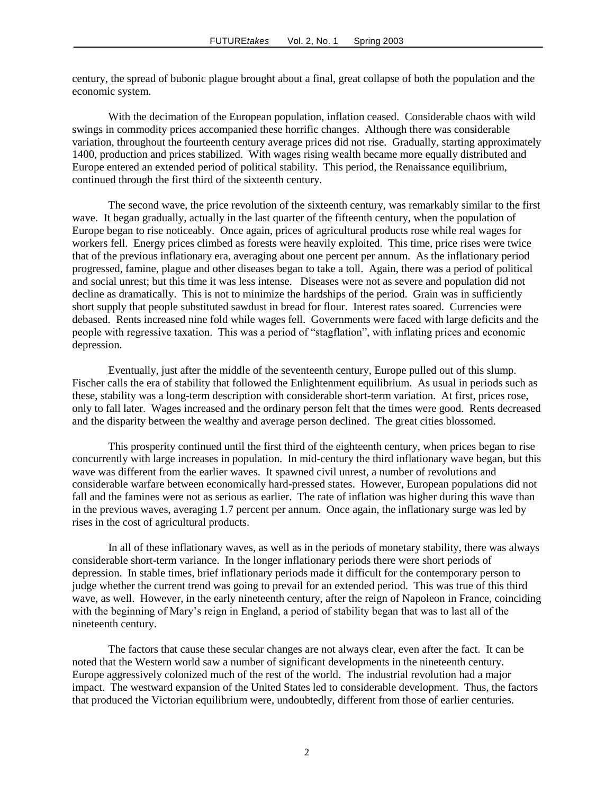century, the spread of bubonic plague brought about a final, great collapse of both the population and the economic system.

With the decimation of the European population, inflation ceased. Considerable chaos with wild swings in commodity prices accompanied these horrific changes. Although there was considerable variation, throughout the fourteenth century average prices did not rise. Gradually, starting approximately 1400, production and prices stabilized. With wages rising wealth became more equally distributed and Europe entered an extended period of political stability. This period, the Renaissance equilibrium, continued through the first third of the sixteenth century.

The second wave, the price revolution of the sixteenth century, was remarkably similar to the first wave. It began gradually, actually in the last quarter of the fifteenth century, when the population of Europe began to rise noticeably. Once again, prices of agricultural products rose while real wages for workers fell. Energy prices climbed as forests were heavily exploited. This time, price rises were twice that of the previous inflationary era, averaging about one percent per annum. As the inflationary period progressed, famine, plague and other diseases began to take a toll. Again, there was a period of political and social unrest; but this time it was less intense. Diseases were not as severe and population did not decline as dramatically. This is not to minimize the hardships of the period. Grain was in sufficiently short supply that people substituted sawdust in bread for flour. Interest rates soared. Currencies were debased. Rents increased nine fold while wages fell. Governments were faced with large deficits and the people with regressive taxation. This was a period of "stagflation", with inflating prices and economic depression.

Eventually, just after the middle of the seventeenth century, Europe pulled out of this slump. Fischer calls the era of stability that followed the Enlightenment equilibrium. As usual in periods such as these, stability was a long-term description with considerable short-term variation. At first, prices rose, only to fall later. Wages increased and the ordinary person felt that the times were good. Rents decreased and the disparity between the wealthy and average person declined. The great cities blossomed.

This prosperity continued until the first third of the eighteenth century, when prices began to rise concurrently with large increases in population. In mid-century the third inflationary wave began, but this wave was different from the earlier waves. It spawned civil unrest, a number of revolutions and considerable warfare between economically hard-pressed states. However, European populations did not fall and the famines were not as serious as earlier. The rate of inflation was higher during this wave than in the previous waves, averaging 1.7 percent per annum. Once again, the inflationary surge was led by rises in the cost of agricultural products.

In all of these inflationary waves, as well as in the periods of monetary stability, there was always considerable short-term variance. In the longer inflationary periods there were short periods of depression. In stable times, brief inflationary periods made it difficult for the contemporary person to judge whether the current trend was going to prevail for an extended period. This was true of this third wave, as well. However, in the early nineteenth century, after the reign of Napoleon in France, coinciding with the beginning of Mary's reign in England, a period of stability began that was to last all of the nineteenth century.

The factors that cause these secular changes are not always clear, even after the fact. It can be noted that the Western world saw a number of significant developments in the nineteenth century. Europe aggressively colonized much of the rest of the world. The industrial revolution had a major impact. The westward expansion of the United States led to considerable development. Thus, the factors that produced the Victorian equilibrium were, undoubtedly, different from those of earlier centuries.